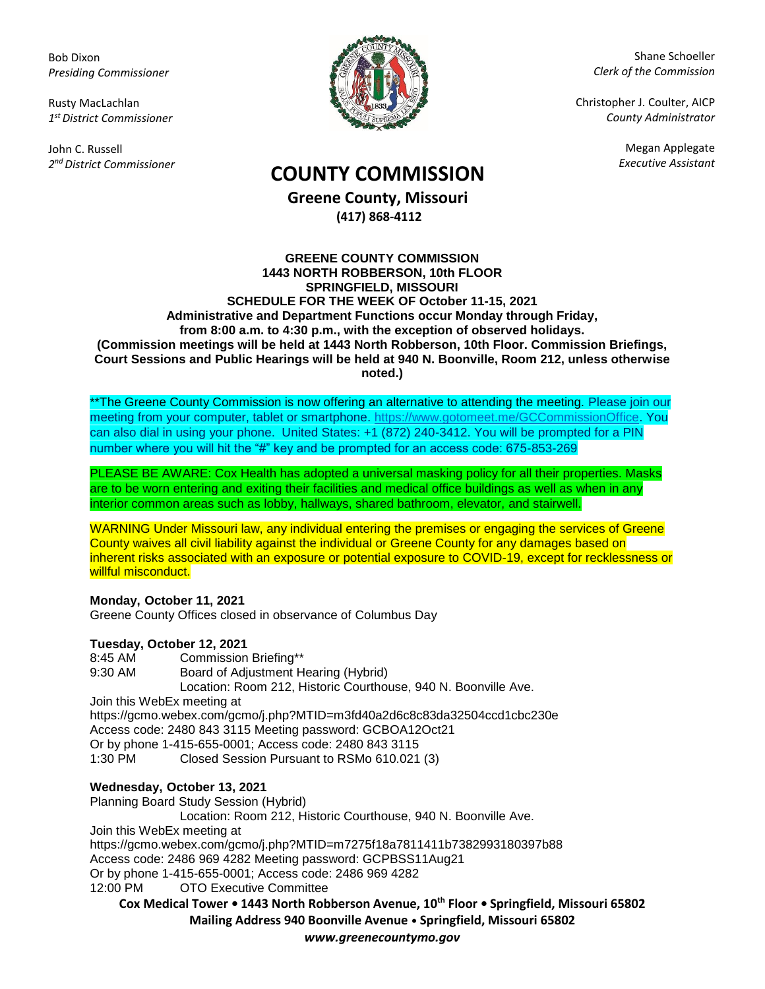Bob Dixon *Presiding Commissioner*

Rusty MacLachlan *1 st District Commissioner*

John C. Russell *2 nd District Commissioner*



Shane Schoeller *Clerk of the Commission*

Christopher J. Coulter, AICP *County Administrator*

Megan Applegate

# *Executive Assistant* **COUNTY COMMISSION**

**Greene County, Missouri (417) 868-4112**

#### **GREENE COUNTY COMMISSION 1443 NORTH ROBBERSON, 10th FLOOR SPRINGFIELD, MISSOURI SCHEDULE FOR THE WEEK OF October 11-15, 2021 Administrative and Department Functions occur Monday through Friday, from 8:00 a.m. to 4:30 p.m., with the exception of observed holidays. (Commission meetings will be held at 1443 North Robberson, 10th Floor. Commission Briefings, Court Sessions and Public Hearings will be held at 940 N. Boonville, Room 212, unless otherwise noted.)**

\*\*The Greene County Commission is now offering an alternative to attending the meeting. Please join our meeting from your computer, tablet or smartphone. [https://www.gotomeet.me/GCCommissionOffice.](https://www.gotomeet.me/GCCommissionOffice) You can also dial in using your phone. United States: +1 (872) 240-3412. You will be prompted for a PIN number where you will hit the "#" key and be prompted for an access code: 675-853-269

PLEASE BE AWARE: Cox Health has adopted a universal masking policy for all their properties. Masks are to be worn entering and exiting their facilities and medical office buildings as well as when in any interior common areas such as lobby, hallways, shared bathroom, elevator, and stairwell.

WARNING Under Missouri law, any individual entering the premises or engaging the services of Greene County waives all civil liability against the individual or Greene County for any damages based on inherent risks associated with an exposure or potential exposure to COVID-19, except for recklessness or willful misconduct.

## **Monday, October 11, 2021**

Greene County Offices closed in observance of Columbus Day

### **Tuesday, October 12, 2021**

8:45 AM Commission Briefing\*\* 9:30 AM Board of Adjustment Hearing (Hybrid) Location: Room 212, Historic Courthouse, 940 N. Boonville Ave. Join this WebEx meeting at https://gcmo.webex.com/gcmo/j.php?MTID=m3fd40a2d6c8c83da32504ccd1cbc230e Access code: 2480 843 3115 Meeting password: GCBOA12Oct21 Or by phone 1-415-655-0001; Access code: 2480 843 3115 1:30 PM Closed Session Pursuant to RSMo 610.021 (3)

## **Wednesday, October 13, 2021**

Planning Board Study Session (Hybrid) Location: Room 212, Historic Courthouse, 940 N. Boonville Ave. Join this WebEx meeting at https://gcmo.webex.com/gcmo/j.php?MTID=m7275f18a7811411b7382993180397b88 Access code: 2486 969 4282 Meeting password: GCPBSS11Aug21 Or by phone 1-415-655-0001; Access code: 2486 969 4282 12:00 PM OTO Executive Committee

**Cox Medical Tower • 1443 North Robberson Avenue, 10th Floor • Springfield, Missouri 65802 Mailing Address 940 Boonville Avenue • Springfield, Missouri 65802**

*www.greenecountymo.gov*